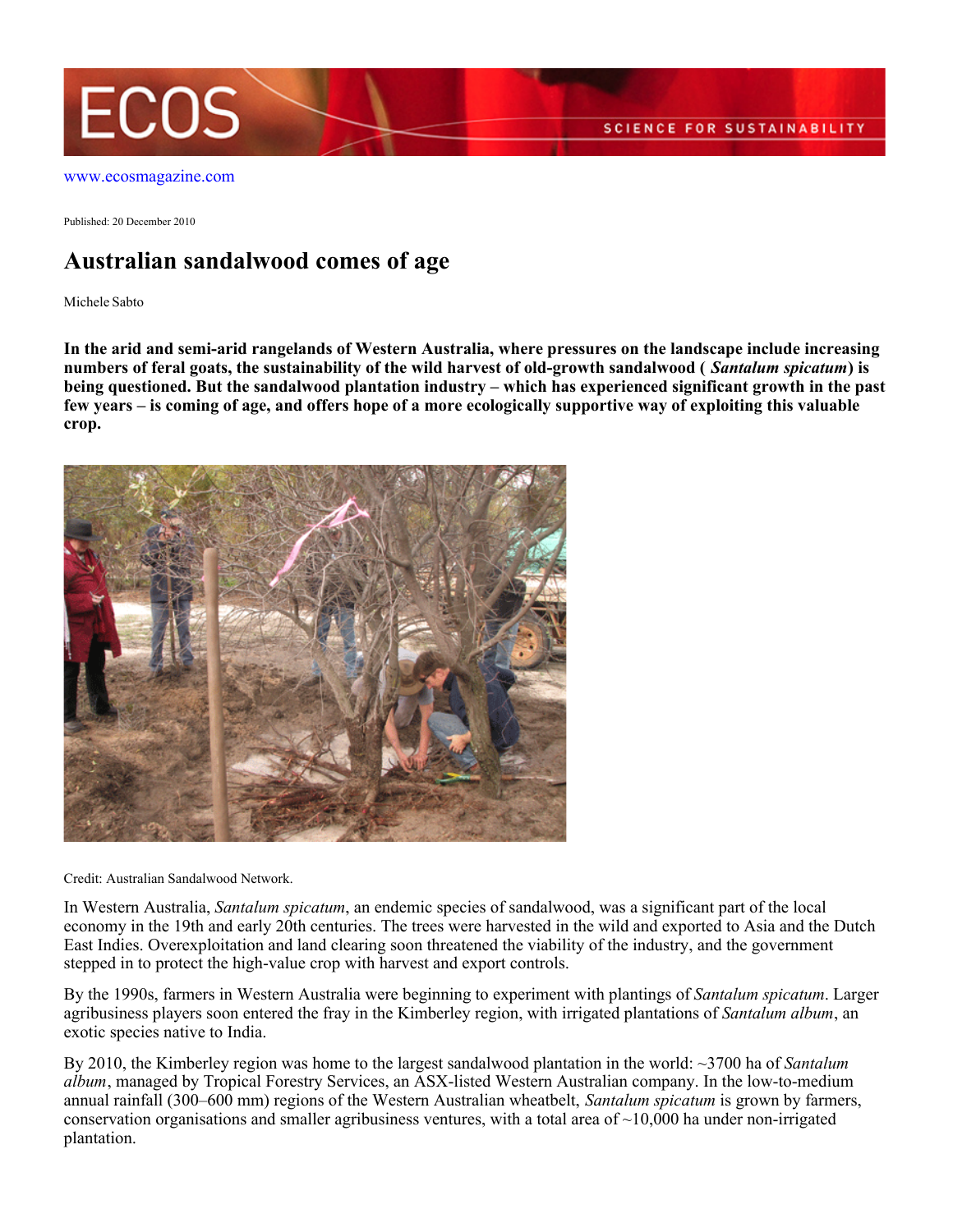

Published: 20 December 2010

## **Australian sandalwood comes of age**

Michele Sabto

**In the arid and semi-arid rangelands of Western Australia, where pressures on the landscape include increasing numbers of feral goats, the sustainability of the wild harvest of old-growth sandalwood (** *Santalum spicatum***) is being questioned. But the sandalwood plantation industry – which has experienced significant growth in the past few years – is coming of age, and offers hope of a more ecologically supportive way of exploiting this valuable crop.**



Credit: Australian Sandalwood Network.

In Western Australia, *Santalum spicatum*, an endemic species of sandalwood, was a significant part of the local economy in the 19th and early 20th centuries. The trees were harvested in the wild and exported to Asia and the Dutch East Indies. Overexploitation and land clearing soon threatened the viability of the industry, and the government stepped in to protect the high-value crop with harvest and export controls.

By the 1990s, farmers in Western Australia were beginning to experiment with plantings of *Santalum spicatum*. Larger agribusiness players soon entered the fray in the Kimberley region, with irrigated plantations of *Santalum album*, an exotic species native to India.

By 2010, the Kimberley region was home to the largest sandalwood plantation in the world: ~3700 ha of *Santalum album*, managed by Tropical Forestry Services, an ASX-listed Western Australian company. In the low-to-medium annual rainfall (300–600 mm) regions of the Western Australian wheatbelt, *Santalum spicatum* is grown by farmers, conservation organisations and smaller agribusiness ventures, with a total area of  $\sim$ 10,000 ha under non-irrigated plantation.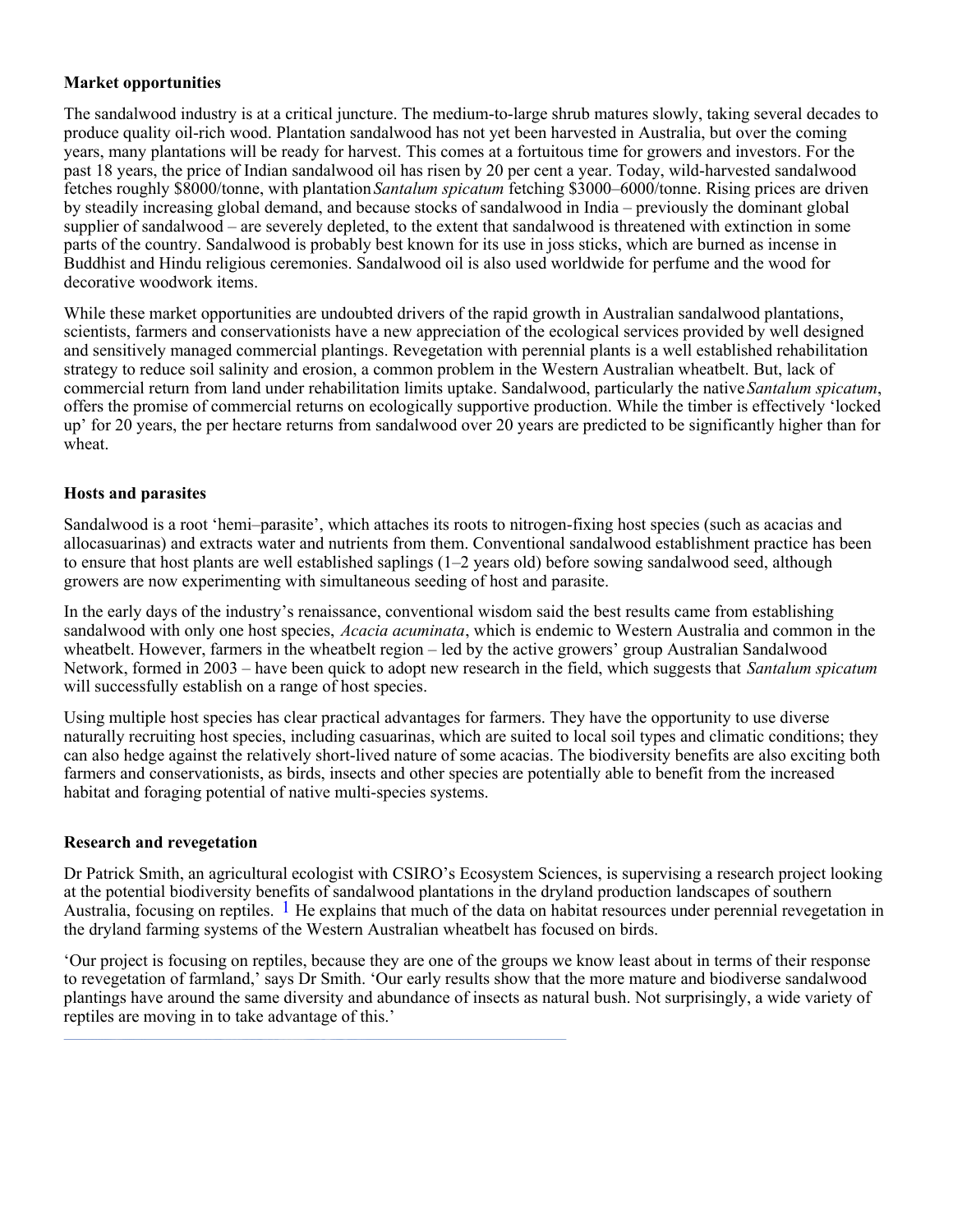#### **Market opportunities**

The sandalwood industry is at a critical juncture. The medium-to-large shrub matures slowly, taking several decades to produce quality oil-rich wood. Plantation sandalwood has not yet been harvested in Australia, but over the coming years, many plantations will be ready for harvest. This comes at a fortuitous time for growers and investors. For the past 18 years, the price of Indian sandalwood oil has risen by 20 per cent a year. Today, wild-harvested sandalwood fetches roughly \$8000/tonne, with plantation *Santalum spicatum* fetching \$3000–6000/tonne. Rising prices are driven by steadily increasing global demand, and because stocks of sandalwood in India – previously the dominant global supplier of sandalwood – are severely depleted, to the extent that sandalwood is threatened with extinction in some parts of the country. Sandalwood is probably best known for its use in joss sticks, which are burned as incense in Buddhist and Hindu religious ceremonies. Sandalwood oil is also used worldwide for perfume and the wood for decorative woodwork items.

While these market opportunities are undoubted drivers of the rapid growth in Australian sandalwood plantations, scientists, farmers and conservationists have a new appreciation of the ecological services provided by well designed and sensitively managed commercial plantings. Revegetation with perennial plants is a well established rehabilitation strategy to reduce soil salinity and erosion, a common problem in the Western Australian wheatbelt. But, lack of commercial return from land under rehabilitation limits uptake. Sandalwood, particularly the native *Santalum spicatum*, offers the promise of commercial returns on ecologically supportive production. While the timber is effectively 'locked up' for 20 years, the per hectare returns from sandalwood over 20 years are predicted to be significantly higher than for wheat.

### **Hosts and parasites**

Sandalwood is a root 'hemi–parasite', which attaches its roots to nitrogen-fixing host species (such as acacias and allocasuarinas) and extracts water and nutrients from them. Conventional sandalwood establishment practice has been to ensure that host plants are well established saplings (1–2 years old) before sowing sandalwood seed, although growers are now experimenting with simultaneous seeding of host and parasite.

In the early days of the industry's renaissance, conventional wisdom said the best results came from establishing sandalwood with only one host species, *Acacia acuminata*, which is endemic to Western Australia and common in the wheatbelt. However, farmers in the wheatbelt region – led by the active growers' group Australian Sandalwood Network, formed in 2003 – have been quick to adopt new research in the field, which suggests that *Santalum spicatum* will successfully establish on a range of host species.

Using multiple host species has clear practical advantages for farmers. They have the opportunity to use diverse naturally recruiting host species, including casuarinas, which are suited to local soil types and climatic conditions; they can also hedge against the relatively short-lived nature of some acacias. The biodiversity benefits are also exciting both farmers and conservationists, as birds, insects and other species are potentially able to benefit from the increased habitat and foraging potential of native multi-species systems.

#### **Research and revegetation**

Dr Patrick Smith, an agricultural ecologist with CSIRO's Ecosystem Sciences, is supervising a research project looking at the potential biodiversity benefits of sandalwood plantations in the dryland production landscapes of southern Australia, focusing on reptiles.  $1$  He explains that much of the data on habitat resources under perennial revegetation in the dryland farming systems of the Western Australian wheatbelt has focused on birds.

'Our project is focusing on reptiles, because they are one of the groups we know least about in terms of their response to revegetation of farmland,' says Dr Smith. 'Our early results show that the more mature and biodiverse sandalwood plantings have around the same diversity and abundance of insects as natural bush. Not surprisingly, a wide variety of reptiles are moving in to take advantage of this.'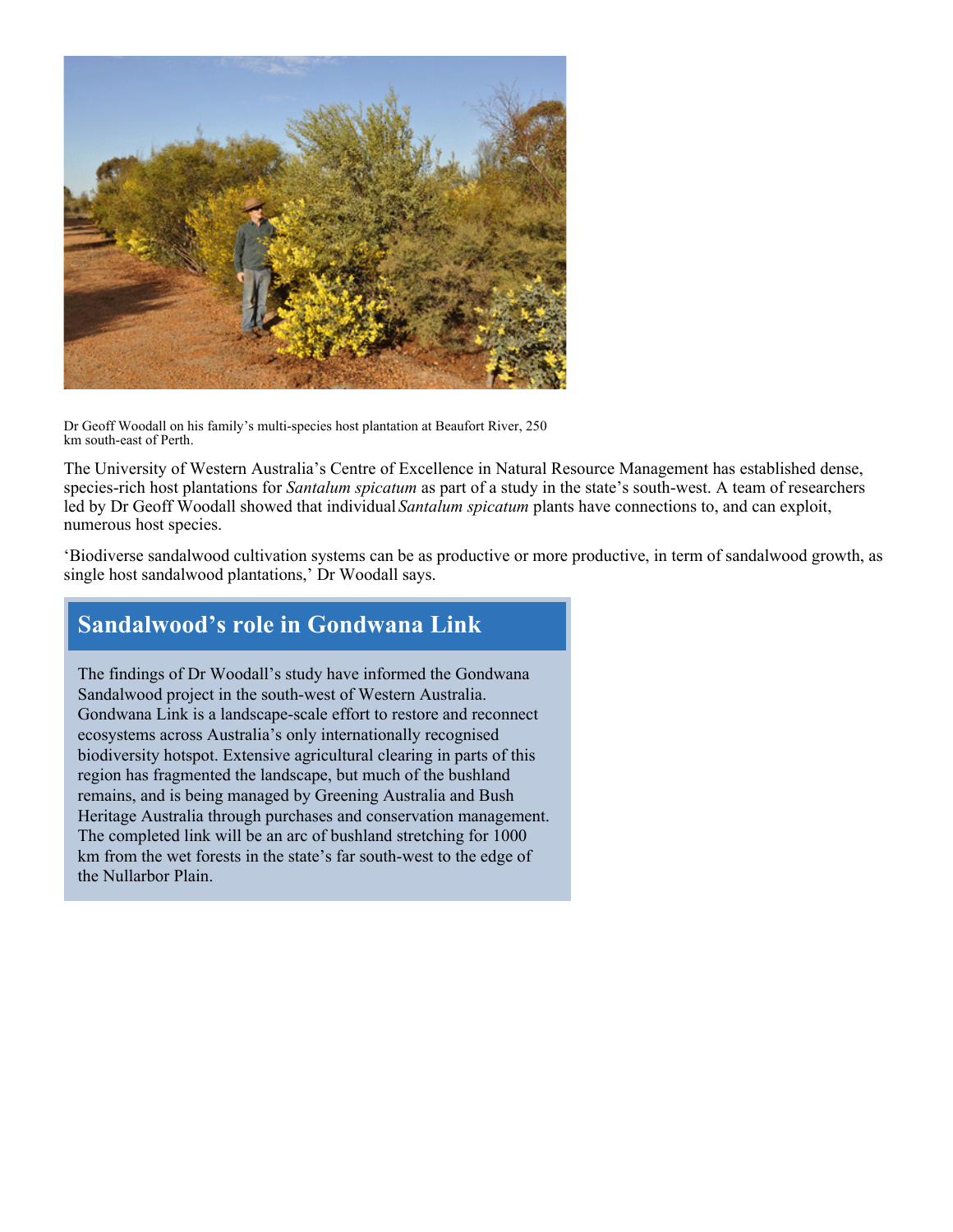

Dr Geoff Woodall on his family's multi-species host plantation at Beaufort River, 250 km south-east of Perth.

The University of Western Australia's Centre of Excellence in Natural Resource Management has established dense, species-rich host plantations for *Santalum spicatum* as part of a study in the state's south-west. A team of researchers led by Dr Geoff Woodall showed that individual *Santalum spicatum* plants have connections to, and can exploit, numerous host species.

'Biodiverse sandalwood cultivation systems can be as productive or more productive, in term of sandalwood growth, as single host sandalwood plantations,' Dr Woodall says.

# **Sandalwood's role in Gondwana Link**

The findings of Dr Woodall's study have informed the Gondwana Sandalwood project in the south-west of Western Australia. Gondwana Link is a landscape-scale effort to restore and reconnect ecosystems across Australia's only internationally recognised biodiversity hotspot. Extensive agricultural clearing in parts of this region has fragmented the landscape, but much of the bushland remains, and is being managed by Greening Australia and Bush Heritage Australia through purchases and conservation management. The completed link will be an arc of bushland stretching for 1000 km from the wet forests in the state's far south-west to the edge of the Nullarbor Plain.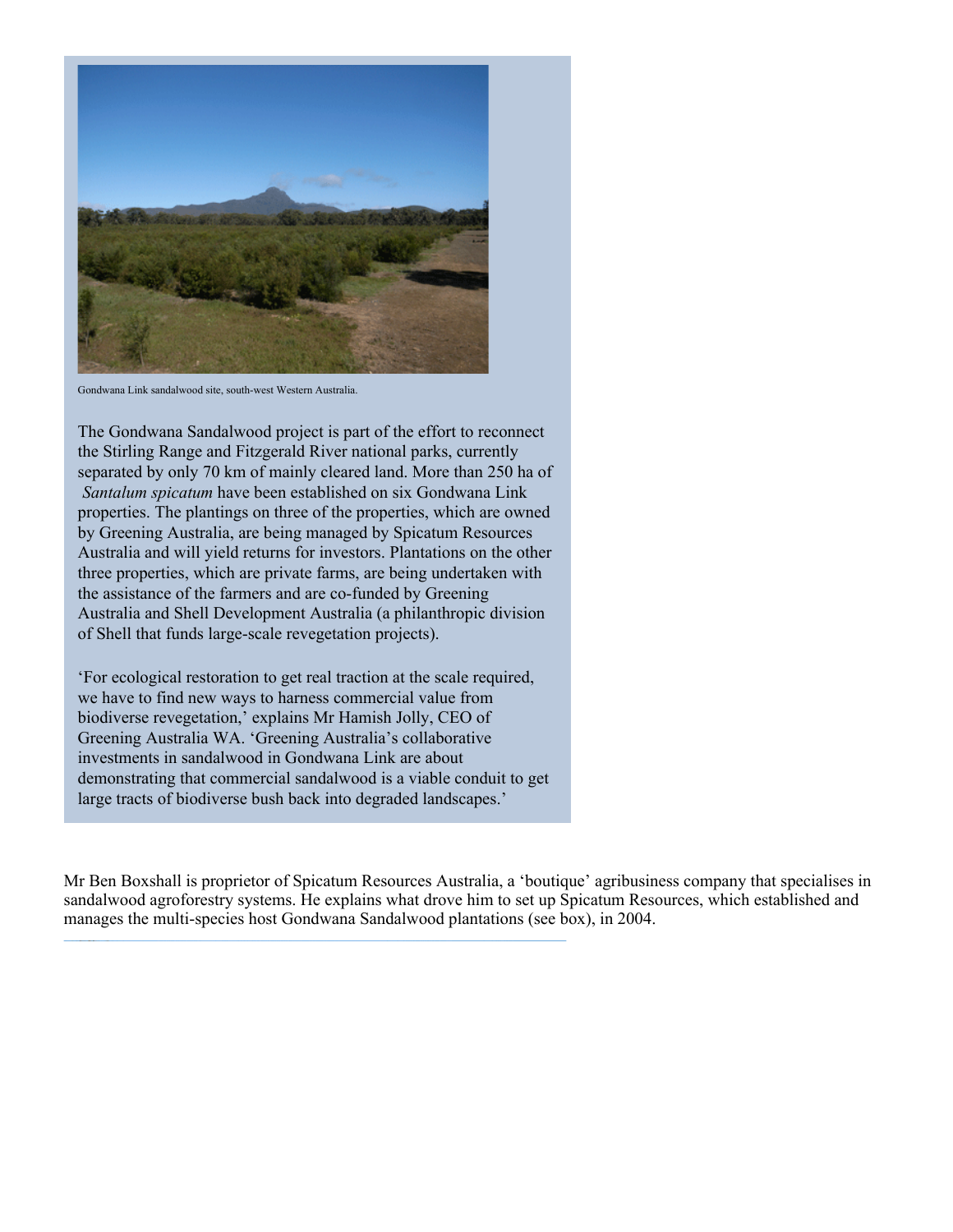

Gondwana Link sandalwood site, south-west Western Australia.

The Gondwana Sandalwood project is part of the effort to reconnect the Stirling Range and Fitzgerald River national parks, currently separated by only 70 km of mainly cleared land. More than 250 ha of *Santalum spicatum* have been established on six Gondwana Link properties. The plantings on three of the properties, which are owned by Greening Australia, are being managed by Spicatum Resources Australia and will yield returns for investors. Plantations on the other three properties, which are private farms, are being undertaken with the assistance of the farmers and are co-funded by Greening Australia and Shell Development Australia (a philanthropic division of Shell that funds large-scale revegetation projects).

'For ecological restoration to get real traction at the scale required, we have to find new ways to harness commercial value from biodiverse revegetation,' explains Mr Hamish Jolly, CEO of Greening Australia WA. 'Greening Australia's collaborative investments in sandalwood in Gondwana Link are about demonstrating that commercial sandalwood is a viable conduit to get large tracts of biodiverse bush back into degraded landscapes.'

Mr Ben Boxshall is proprietor of Spicatum Resources Australia, a 'boutique' agribusiness company that specialises in sandalwood agroforestry systems. He explains what drove him to set up Spicatum Resources, which established and manages the multi-species host Gondwana Sandalwood plantations (see box), in 2004.